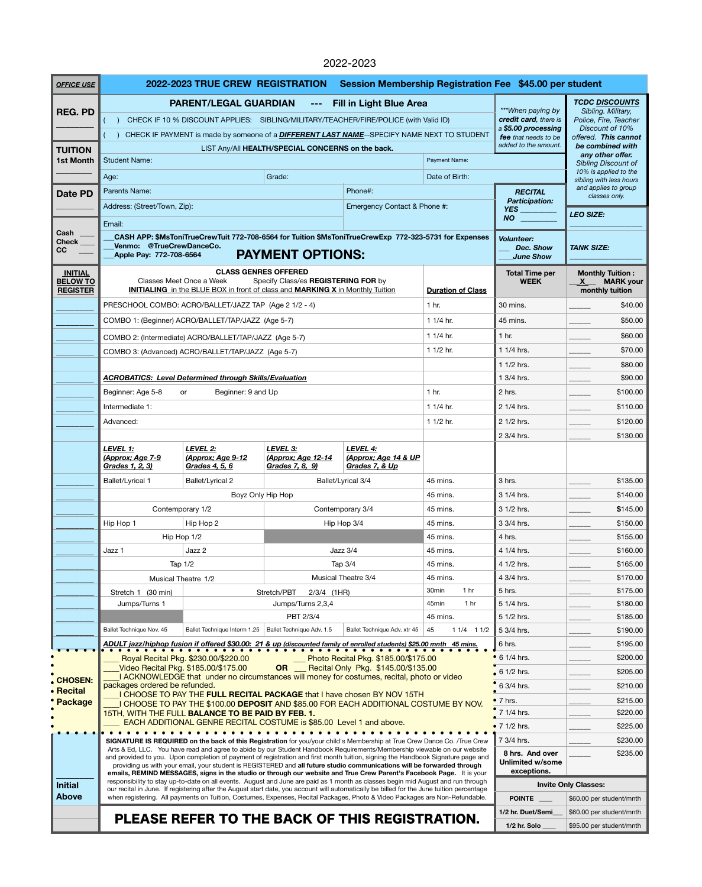## 2022-2023

| <b>OFFICE USE</b>                 | Session Membership Registration Fee \$45.00 per student<br>2022-2023 TRUE CREW REGISTRATION                                                                                                      |                                                                                                                                                                                                                                                                                                                                                                                                                                      |                                                |                                                                                   |                                      |                                                                                            |                                                  |  |
|-----------------------------------|--------------------------------------------------------------------------------------------------------------------------------------------------------------------------------------------------|--------------------------------------------------------------------------------------------------------------------------------------------------------------------------------------------------------------------------------------------------------------------------------------------------------------------------------------------------------------------------------------------------------------------------------------|------------------------------------------------|-----------------------------------------------------------------------------------|--------------------------------------|--------------------------------------------------------------------------------------------|--------------------------------------------------|--|
|                                   | <b>PARENT/LEGAL GUARDIAN</b><br><b>Fill in Light Blue Area</b>                                                                                                                                   |                                                                                                                                                                                                                                                                                                                                                                                                                                      |                                                |                                                                                   |                                      |                                                                                            | <b>TCDC DISCOUNTS</b>                            |  |
| <b>REG. PD</b>                    | CHECK IF 10 % DISCOUNT APPLIES: SIBLING/MILITARY/TEACHER/FIRE/POLICE (with Valid ID)                                                                                                             |                                                                                                                                                                                                                                                                                                                                                                                                                                      |                                                |                                                                                   |                                      | *** When paying by<br>credit card, there is<br>a \$5.00 processing<br>fee that needs to be | Sibling. Military,<br>Police, Fire, Teacher      |  |
|                                   | CHECK IF PAYMENT is made by someone of a <b>DIFFERENT LAST NAME</b> --SPECIFY NAME NEXT TO STUDENT                                                                                               |                                                                                                                                                                                                                                                                                                                                                                                                                                      |                                                |                                                                                   |                                      |                                                                                            | Discount of 10%<br>offered. This cannot          |  |
| <b>TUITION</b>                    | added to the amount.<br>be combined with<br>LIST Any/All HEALTH/SPECIAL CONCERNS on the back.                                                                                                    |                                                                                                                                                                                                                                                                                                                                                                                                                                      |                                                |                                                                                   |                                      |                                                                                            |                                                  |  |
| <b>1st Month</b>                  | <b>Student Name:</b>                                                                                                                                                                             |                                                                                                                                                                                                                                                                                                                                                                                                                                      | any other offer.<br><b>Sibling Discount of</b> |                                                                                   |                                      |                                                                                            |                                                  |  |
|                                   | Age:                                                                                                                                                                                             |                                                                                                                                                                                                                                                                                                                                                                                                                                      | Grade:                                         |                                                                                   | Date of Birth:                       |                                                                                            | 10% is applied to the<br>sibling with less hours |  |
| <b>Date PD</b>                    | Parents Name:                                                                                                                                                                                    |                                                                                                                                                                                                                                                                                                                                                                                                                                      |                                                | Phone#:                                                                           |                                      | <b>RECITAL</b>                                                                             | and applies to group<br>classes only.            |  |
|                                   | Address: (Street/Town, Zip):                                                                                                                                                                     |                                                                                                                                                                                                                                                                                                                                                                                                                                      |                                                | Emergency Contact & Phone #:                                                      |                                      | <b>Participation:</b><br><b>YES</b>                                                        |                                                  |  |
|                                   | <b>NO</b><br>Email:                                                                                                                                                                              |                                                                                                                                                                                                                                                                                                                                                                                                                                      |                                                |                                                                                   |                                      |                                                                                            | <b>LEO SIZE:</b>                                 |  |
| Cash<br><b>Check</b>              |                                                                                                                                                                                                  | CASH APP: \$MsToniTrueCrewTuit 772-708-6564 for Tuition \$MsToniTrueCrewExp 772-323-5731 for Expenses                                                                                                                                                                                                                                                                                                                                |                                                |                                                                                   | <b>Volunteer:</b>                    |                                                                                            |                                                  |  |
| cc                                | Venmo: @TrueCrewDanceCo.<br><b>Apple Pay: 772-708-6564</b>                                                                                                                                       | <b>PAYMENT OPTIONS:</b>                                                                                                                                                                                                                                                                                                                                                                                                              | Dec. Show<br><b>June Show</b>                  | <b>TANK SIZE:</b>                                                                 |                                      |                                                                                            |                                                  |  |
|                                   |                                                                                                                                                                                                  | <b>CLASS GENRES OFFERED</b>                                                                                                                                                                                                                                                                                                                                                                                                          |                                                |                                                                                   |                                      |                                                                                            |                                                  |  |
| <b>INITIAL</b><br><b>BELOW TO</b> |                                                                                                                                                                                                  | Classes Meet Once a Week                                                                                                                                                                                                                                                                                                                                                                                                             | Specify Class/es REGISTERING FOR by            |                                                                                   | <b>Total Time per</b><br><b>WEEK</b> | <b>Monthly Tuition:</b><br><b>MARK</b> your<br>$\mathsf{X}$                                |                                                  |  |
| <b>REGISTER</b>                   |                                                                                                                                                                                                  | <b>INITIALING</b> in the BLUE BOX in front of class and <b>MARKING X</b> in Monthly Tuition                                                                                                                                                                                                                                                                                                                                          |                                                | <b>Duration of Class</b>                                                          |                                      | monthly tuition                                                                            |                                                  |  |
|                                   | PRESCHOOL COMBO: ACRO/BALLET/JAZZ TAP (Age 2 1/2 - 4)                                                                                                                                            |                                                                                                                                                                                                                                                                                                                                                                                                                                      |                                                |                                                                                   | 1 <sub>hr.</sub>                     | 30 mins.                                                                                   | \$40.00                                          |  |
|                                   | COMBO 1: (Beginner) ACRO/BALLET/TAP/JAZZ (Age 5-7)                                                                                                                                               |                                                                                                                                                                                                                                                                                                                                                                                                                                      |                                                |                                                                                   | 1 1/4 hr.                            | 45 mins.                                                                                   | \$50.00                                          |  |
|                                   | COMBO 2: (Intermediate) ACRO/BALLET/TAP/JAZZ (Age 5-7)                                                                                                                                           |                                                                                                                                                                                                                                                                                                                                                                                                                                      |                                                |                                                                                   | 1 $1/4$ hr.                          | 1 <sub>hr.</sub>                                                                           | \$60.00                                          |  |
|                                   |                                                                                                                                                                                                  | COMBO 3: (Advanced) ACRO/BALLET/TAP/JAZZ (Age 5-7)                                                                                                                                                                                                                                                                                                                                                                                   |                                                | 1 $1/2$ hr.                                                                       | 1 1/4 hrs.                           | \$70.00                                                                                    |                                                  |  |
|                                   | <b>ACROBATICS: Level Determined through Skills/Evaluation</b>                                                                                                                                    |                                                                                                                                                                                                                                                                                                                                                                                                                                      |                                                |                                                                                   |                                      | 1 1/2 hrs.                                                                                 | \$80.00                                          |  |
|                                   |                                                                                                                                                                                                  |                                                                                                                                                                                                                                                                                                                                                                                                                                      |                                                |                                                                                   |                                      | 1 3/4 hrs.                                                                                 | \$90.00                                          |  |
|                                   | Beginner: Age 5-8<br>Beginner: 9 and Up<br><b>or</b>                                                                                                                                             |                                                                                                                                                                                                                                                                                                                                                                                                                                      |                                                |                                                                                   | 1 <sub>hr.</sub>                     | 2 hrs.                                                                                     | \$100.00                                         |  |
|                                   | Intermediate 1:                                                                                                                                                                                  |                                                                                                                                                                                                                                                                                                                                                                                                                                      |                                                |                                                                                   | 1 1/4 hr.                            | 2 1/4 hrs.                                                                                 | \$110.00                                         |  |
|                                   | Advanced:                                                                                                                                                                                        |                                                                                                                                                                                                                                                                                                                                                                                                                                      |                                                |                                                                                   | 1 1/2 hr.                            | 2 1/2 hrs.                                                                                 | \$120.00                                         |  |
|                                   | LEVEL 1:                                                                                                                                                                                         | LEVEL 2:                                                                                                                                                                                                                                                                                                                                                                                                                             | LEVEL 3:                                       | LEVEL 4:                                                                          |                                      | 2 3/4 hrs.                                                                                 | \$130.00                                         |  |
|                                   | (Approx; Age 7-9<br>Grades 1, 2, 3)                                                                                                                                                              | (Approx; Age 9-12<br>Grades 4, 5, 6                                                                                                                                                                                                                                                                                                                                                                                                  | (Approx; Age 12-14<br>Grades 7, 8, 9)          | (Approx; Age 14 & UP<br>Grades 7, & Up                                            |                                      |                                                                                            |                                                  |  |
|                                   | <b>Ballet/Lyrical 1</b>                                                                                                                                                                          | Ballet/Lyrical 2                                                                                                                                                                                                                                                                                                                                                                                                                     |                                                | Ballet/Lyrical 3/4                                                                | 45 mins.                             | 3 hrs.                                                                                     | \$135.00                                         |  |
|                                   | Boyz Only Hip Hop                                                                                                                                                                                |                                                                                                                                                                                                                                                                                                                                                                                                                                      |                                                |                                                                                   | 45 mins.                             | 3 1/4 hrs.                                                                                 | \$140.00                                         |  |
|                                   | Contemporary 1/2<br>Hip Hop 1<br>Hip Hop 2                                                                                                                                                       |                                                                                                                                                                                                                                                                                                                                                                                                                                      | Contemporary 3/4<br>Hip Hop 3/4                |                                                                                   | 45 mins.                             | 3 1/2 hrs.                                                                                 | \$145.00                                         |  |
|                                   |                                                                                                                                                                                                  |                                                                                                                                                                                                                                                                                                                                                                                                                                      |                                                |                                                                                   | 45 mins.                             | 3 3/4 hrs.                                                                                 | \$150.00                                         |  |
|                                   |                                                                                                                                                                                                  | Hip Hop 1/2<br>Jazz 3/4<br>Jazz 2<br>Tap 1/2<br>Tap 3/4                                                                                                                                                                                                                                                                                                                                                                              |                                                |                                                                                   |                                      | 4 hrs.                                                                                     | \$155.00                                         |  |
|                                   | Jazz 1                                                                                                                                                                                           |                                                                                                                                                                                                                                                                                                                                                                                                                                      |                                                |                                                                                   | 45 mins.                             | 4 1/4 hrs.                                                                                 | \$160.00                                         |  |
|                                   |                                                                                                                                                                                                  |                                                                                                                                                                                                                                                                                                                                                                                                                                      |                                                |                                                                                   | 45 mins.<br>45 mins.                 | 4 1/2 hrs.<br>4 3/4 hrs.                                                                   | \$165.00<br>\$170.00                             |  |
|                                   | <b>Musical Theatre 3/4</b><br>Musical Theatre 1/2<br>$(30 \text{ min})$<br>Stretch/PBT<br>$2/3/4$ (1HR)<br>Stretch 1<br>Jumps/Turns 1<br>Jumps/Turns 2,3,4                                       |                                                                                                                                                                                                                                                                                                                                                                                                                                      |                                                |                                                                                   | 1 <sub>hr</sub><br>30min             | 5 hrs.                                                                                     | \$175.00                                         |  |
|                                   |                                                                                                                                                                                                  |                                                                                                                                                                                                                                                                                                                                                                                                                                      |                                                |                                                                                   | 1 <sub>hr</sub><br>45min             | 5 1/4 hrs.                                                                                 | \$180.00                                         |  |
|                                   |                                                                                                                                                                                                  |                                                                                                                                                                                                                                                                                                                                                                                                                                      | PBT 2/3/4                                      |                                                                                   | 45 mins.                             | 5 1/2 hrs.                                                                                 | \$185.00                                         |  |
|                                   | Ballet Technique Nov. 45                                                                                                                                                                         | Ballet Technique Interm 1.25   Ballet Technique Adv. 1.5                                                                                                                                                                                                                                                                                                                                                                             |                                                | Ballet Technique Adv. xtr 45                                                      | 45<br>$11/4$ $11/2$                  | 5 3/4 hrs.                                                                                 | \$190.00                                         |  |
|                                   |                                                                                                                                                                                                  | ADULT jazz/hiphop fusion if offered \$30.00: 21 & up (discounted family of enrolled students) \$25.00 mnth 45 mins.<br><u>.</u>                                                                                                                                                                                                                                                                                                      |                                                |                                                                                   |                                      | 6 hrs.                                                                                     | \$195.00                                         |  |
|                                   |                                                                                                                                                                                                  | Royal Recital Pkg. \$230.00/\$220.00                                                                                                                                                                                                                                                                                                                                                                                                 | $\frac{1}{1}$                                  | Photo Recital Pkg. \$185.00/\$175.00<br>OR __ Recital Only Pkg. \$145.00/\$135.00 |                                      | $\bullet$ 6 1/4 hrs.                                                                       | \$200.00                                         |  |
| CHOSEN:                           |                                                                                                                                                                                                  | Video Recital Pkg. \$185.00/\$175.00<br>I ACKNOWLEDGE that under no circumstances will money for costumes, recital, photo or video                                                                                                                                                                                                                                                                                                   | $61/2$ hrs.                                    | \$205.00                                                                          |                                      |                                                                                            |                                                  |  |
| • Recital                         | packages ordered be refunded.<br>I CHOOSE TO PAY THE FULL RECITAL PACKAGE that I have chosen BY NOV 15TH<br>I CHOOSE TO PAY THE \$100.00 DEPOSIT AND \$85.00 FOR EACH ADDITIONAL COSTUME BY NOV. |                                                                                                                                                                                                                                                                                                                                                                                                                                      |                                                |                                                                                   |                                      | 6 3/4 hrs.                                                                                 | \$210.00                                         |  |
| <b>Package</b>                    |                                                                                                                                                                                                  |                                                                                                                                                                                                                                                                                                                                                                                                                                      |                                                |                                                                                   |                                      | $\bullet$ 7 hrs.                                                                           | \$215.00                                         |  |
|                                   |                                                                                                                                                                                                  | 15TH, WITH THE FULL BALANCE TO BE PAID BY FEB. 1.<br>EACH ADDITIONAL GENRE RECITAL COSTUME is \$85.00 Level 1 and above.                                                                                                                                                                                                                                                                                                             |                                                |                                                                                   |                                      | 7 1/4 hrs.                                                                                 | \$220.00                                         |  |
|                                   | SIGNATURE IS REQUIRED on the back of this Registration for you/your child's Membership at True Crew Dance Co. /True Crew                                                                         |                                                                                                                                                                                                                                                                                                                                                                                                                                      |                                                |                                                                                   |                                      | $\bullet$ 7 1/2 hrs.<br>7 3/4 hrs.                                                         | \$225.00<br>\$230.00                             |  |
|                                   |                                                                                                                                                                                                  | Arts & Ed, LLC. You have read and agree to abide by our Student Handbook Requirements/Membership viewable on our website                                                                                                                                                                                                                                                                                                             | 8 hrs. And over                                | \$235.00                                                                          |                                      |                                                                                            |                                                  |  |
|                                   |                                                                                                                                                                                                  | and provided to you. Upon completion of payment of registration and first month tuition, signing the Handbook Signature page and<br>providing us with your email, your student is REGISTERED and all future studio communications will be forwarded through                                                                                                                                                                          | <b>Unlimited w/some</b><br>exceptions.         |                                                                                   |                                      |                                                                                            |                                                  |  |
| <b>Initial</b>                    |                                                                                                                                                                                                  | emails, REMIND MESSAGES, signs in the studio or through our website and True Crew Parent's Facebook Page. It is your<br>responsibility to stay up-to-date on all events. August and June are paid as 1 month as classes begin mid August and run through<br><b>Invite Only Classes:</b><br>our recital in June. If registering after the August start date, you account will automatically be billed for the June tuition percentage |                                                |                                                                                   |                                      |                                                                                            |                                                  |  |
| <b>Above</b>                      | when registering. All payments on Tuition, Costumes, Expenses, Recital Packages, Photo & Video Packages are Non-Refundable.<br>PLEASE REFER TO THE BACK OF THIS REGISTRATION.                    |                                                                                                                                                                                                                                                                                                                                                                                                                                      |                                                |                                                                                   |                                      | <b>POINTE</b>                                                                              | \$60.00 per student/mnth                         |  |
|                                   |                                                                                                                                                                                                  |                                                                                                                                                                                                                                                                                                                                                                                                                                      |                                                |                                                                                   |                                      | 1/2 hr. Duet/Semi                                                                          | \$60.00 per student/mnth                         |  |
|                                   |                                                                                                                                                                                                  |                                                                                                                                                                                                                                                                                                                                                                                                                                      |                                                |                                                                                   |                                      | 1/2 hr. Solo                                                                               | \$95.00 per student/mnth                         |  |